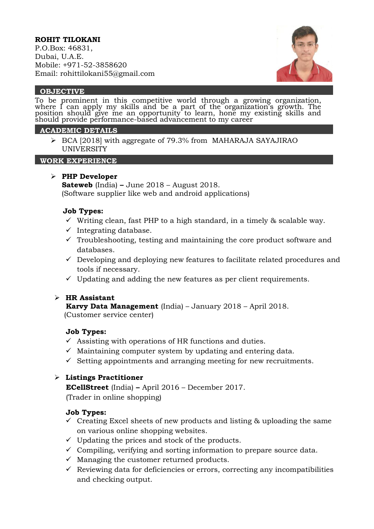## **ROHIT TILOKANI**

P.O.Box: 46831, Dubai, U.A.E. Mobile: +971-52-3858620 Email: rohittilokani55@gmail.com



#### **OBJECTIVE**

To be prominent in this competitive world through a growing organization, where I can apply my skills and be a part of the organization's growth. The position should give me an opportunity to learn, hone my existing skills and should provide performance-based advancement to my career

#### **ACADEMIC DETAILS**

➢ BCA [2018] with aggregate of 79.3% from MAHARAJA SAYAJIRAO UNIVERSITY

#### **WORK EXPERIENCE**

## ➢ **PHP Developer**

**Sateweb** (India) **–** June 2018 – August 2018. (Software supplier like web and android applications)

## **Job Types:**

- $\checkmark$  Writing clean, fast PHP to a high standard, in a timely & scalable way.
- $\checkmark$  Integrating database.
- $\checkmark$  Troubleshooting, testing and maintaining the core product software and databases.
- $\checkmark$  Developing and deploying new features to facilitate related procedures and tools if necessary.
- $\checkmark$  Updating and adding the new features as per client requirements.

## ➢ **HR Assistant**

 **Karvy Data Management** (India) – January 2018 – April 2018. (Customer service center)

## **Job Types:**

- $\checkmark$  Assisting with operations of HR functions and duties.
- $\checkmark$  Maintaining computer system by updating and entering data.
- $\checkmark$  Setting appointments and arranging meeting for new recruitments.

## ➢ **Listings Practitioner**

 **ECellStreet** (India) **–** April 2016 – December 2017. (Trader in online shopping)

#### **Job Types:**

- $\checkmark$  Creating Excel sheets of new products and listing & uploading the same on various online shopping websites.
- $\checkmark$  Updating the prices and stock of the products.
- $\checkmark$  Compiling, verifying and sorting information to prepare source data.
- $\checkmark$  Managing the customer returned products.
- $\checkmark$  Reviewing data for deficiencies or errors, correcting any incompatibilities and checking output.